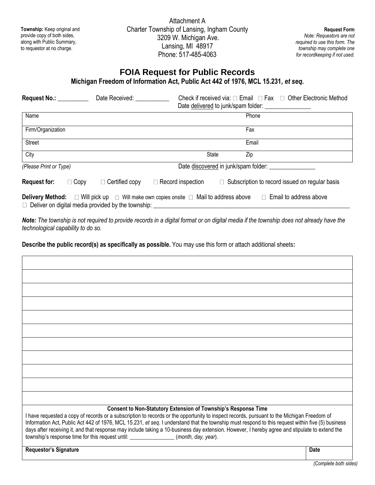**Township:** Keep original and provide copy of both sides, along with Public Summary, to requestor at no charge.

Attachment A Charter Township of Lansing, Ingham County 3209 W. Michigan Ave. Lansing, MI 48917 Phone: 517-485-4063

**Request Form** *Note: Requestors are not required to use this form. The township may complete one for recordkeeping if not used.*

## **FOIA Request for Public Records**

## **Michigan Freedom of Information Act, Public Act 442 of 1976, MCL 15.231,** *et seq***.**

| Request No.: _________ |             | Date Received:                                            |                                      | Check if received via: $\Box$ Email $\Box$ Fax $\Box$ Other Electronic Method                                                             |  |
|------------------------|-------------|-----------------------------------------------------------|--------------------------------------|-------------------------------------------------------------------------------------------------------------------------------------------|--|
| Name<br>Phone          |             |                                                           |                                      |                                                                                                                                           |  |
| Firm/Organization      |             |                                                           |                                      | Fax                                                                                                                                       |  |
| <b>Street</b>          |             |                                                           |                                      | Email                                                                                                                                     |  |
| City                   |             |                                                           |                                      | State<br>Zip                                                                                                                              |  |
| (Please Print or Type) |             |                                                           | Date discovered in junk/spam folder: |                                                                                                                                           |  |
| <b>Request for:</b>    | $\Box$ Copy | $\Box$ Certified copy                                     | $\Box$ Record inspection             | $\Box$ Subscription to record issued on regular basis                                                                                     |  |
|                        |             | $\Box$ Deliver on digital media provided by the township: |                                      | <b>Delivery Method:</b> $\Box$ Will pick up $\Box$ Will make own copies onsite $\Box$ Mail to address above $\Box$ Email to address above |  |

*Note: The township is not required to provide records in a digital format or on digital media if the township does not already have the technological capability to do so.*

**Describe the public record(s) as specifically as possible.** You may use this form or attach additional sheets**:**

| Consent to Non-Statutory Extension of Township's Response Time<br>I have requested a copy of records or a subscription to records or the opportunity to inspect records, pursuant to the Michigan Freedom of<br>Information Act, Public Act 442 of 1976, MCL 15.231, et seq. I understand that the township must respond to this request within five (5) business<br>days after receiving it, and that response may include taking a 10-business day extension. However, I hereby agree and stipulate to extend the<br>township's response time for this request until: ________________(month, day, year). |
|-------------------------------------------------------------------------------------------------------------------------------------------------------------------------------------------------------------------------------------------------------------------------------------------------------------------------------------------------------------------------------------------------------------------------------------------------------------------------------------------------------------------------------------------------------------------------------------------------------------|

**Requestor's Signature Date Date Date Date Date Date Date Date Date Date Date Date Date Date Date Date Date Date Date Date Date Date Date Date D**